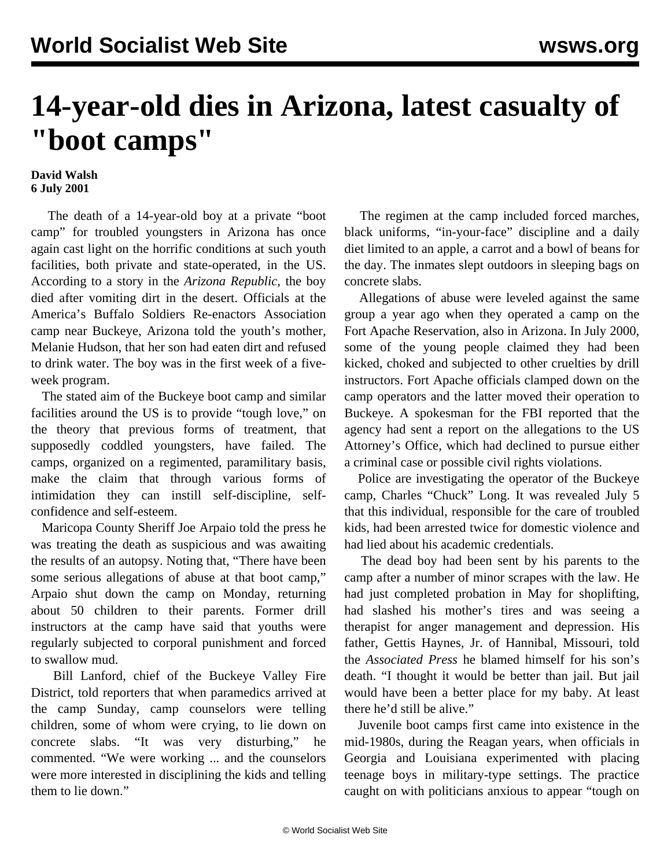## **14-year-old dies in Arizona, latest casualty of "boot camps"**

## **David Walsh 6 July 2001**

 The death of a 14-year-old boy at a private "boot camp" for troubled youngsters in Arizona has once again cast light on the horrific conditions at such youth facilities, both private and state-operated, in the US. According to a story in the *Arizona Republic*, the boy died after vomiting dirt in the desert. Officials at the America's Buffalo Soldiers Re-enactors Association camp near Buckeye, Arizona told the youth's mother, Melanie Hudson, that her son had eaten dirt and refused to drink water. The boy was in the first week of a fiveweek program.

 The stated aim of the Buckeye boot camp and similar facilities around the US is to provide "tough love," on the theory that previous forms of treatment, that supposedly coddled youngsters, have failed. The camps, organized on a regimented, paramilitary basis, make the claim that through various forms of intimidation they can instill self-discipline, selfconfidence and self-esteem.

 Maricopa County Sheriff Joe Arpaio told the press he was treating the death as suspicious and was awaiting the results of an autopsy. Noting that, "There have been some serious allegations of abuse at that boot camp," Arpaio shut down the camp on Monday, returning about 50 children to their parents. Former drill instructors at the camp have said that youths were regularly subjected to corporal punishment and forced to swallow mud.

 Bill Lanford, chief of the Buckeye Valley Fire District, told reporters that when paramedics arrived at the camp Sunday, camp counselors were telling children, some of whom were crying, to lie down on concrete slabs. "It was very disturbing," he commented. "We were working ... and the counselors were more interested in disciplining the kids and telling them to lie down."

 The regimen at the camp included forced marches, black uniforms, "in-your-face" discipline and a daily diet limited to an apple, a carrot and a bowl of beans for the day. The inmates slept outdoors in sleeping bags on concrete slabs.

 Allegations of abuse were leveled against the same group a year ago when they operated a camp on the Fort Apache Reservation, also in Arizona. In July 2000, some of the young people claimed they had been kicked, choked and subjected to other cruelties by drill instructors. Fort Apache officials clamped down on the camp operators and the latter moved their operation to Buckeye. A spokesman for the FBI reported that the agency had sent a report on the allegations to the US Attorney's Office, which had declined to pursue either a criminal case or possible civil rights violations.

 Police are investigating the operator of the Buckeye camp, Charles "Chuck" Long. It was revealed July 5 that this individual, responsible for the care of troubled kids, had been arrested twice for domestic violence and had lied about his academic credentials.

 The dead boy had been sent by his parents to the camp after a number of minor scrapes with the law. He had just completed probation in May for shoplifting, had slashed his mother's tires and was seeing a therapist for anger management and depression. His father, Gettis Haynes, Jr. of Hannibal, Missouri, told the *Associated Press* he blamed himself for his son's death. "I thought it would be better than jail. But jail would have been a better place for my baby. At least there he'd still be alive."

 Juvenile boot camps first came into existence in the mid-1980s, during the Reagan years, when officials in Georgia and Louisiana experimented with placing teenage boys in military-type settings. The practice caught on with politicians anxious to appear "tough on